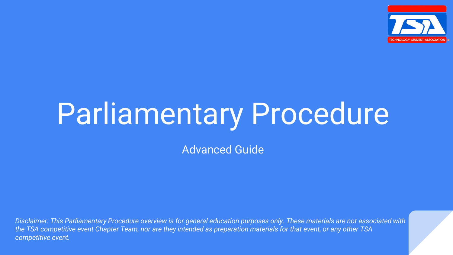

# Parliamentary Procedure

Advanced Guide

*Disclaimer: This Parliamentary Procedure overview is for general education purposes only. These materials are not associated with the TSA competitive event Chapter Team, nor are they intended as preparation materials for that event, or any other TSA competitive event.*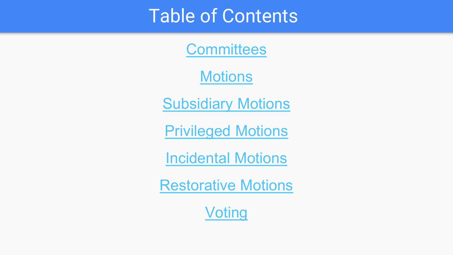#### Table of Contents

**[Committees](#page-2-0)** 

**[Motions](#page-3-0)** 

[Subsidiary Motions](#page-4-0)

[Privileged Motions](#page-5-0)

[Incidental Motions](#page-6-0)

[Restorative Motions](#page-8-0)

[Voting](#page-9-0)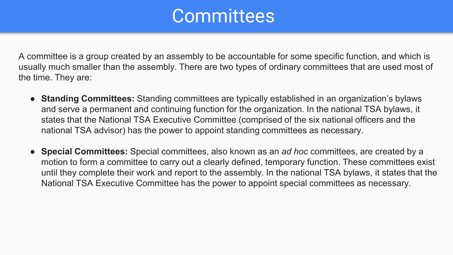#### **Committees**

<span id="page-2-0"></span>A committee is a group created by an assembly to be accountable for some specific function, and which is usually much smaller than the assembly. There are two types of ordinary committees that are used most of the time. They are:

- **Standing Committees:** Standing committees are typically established in an organization's bylaws and serve a permanent and continuing function for the organization. In the national TSA bylaws, it states that the National TSA Executive Committee (comprised of the six national officers and the national TSA advisor) has the power to appoint standing committees as necessary.
- **Special Committees:** Special committees, also known as an *ad hoc* committees, are created by a motion to form a committee to carry out a clearly defined, temporary function. These committees exist until they complete their work and report to the assembly. In the national TSA bylaws, it states that the National TSA Executive Committee has the power to appoint special committees as necessary.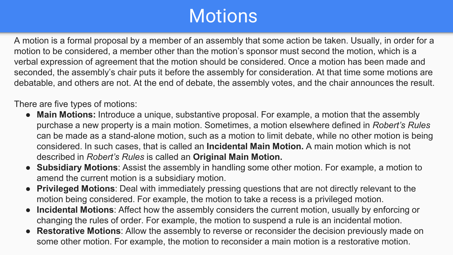## **Motions**

<span id="page-3-0"></span>A motion is a formal proposal by a member of an assembly that some action be taken. Usually, in order for a motion to be considered, a member other than the motion's sponsor must second the motion, which is a verbal expression of agreement that the motion should be considered. Once a motion has been made and seconded, the assembly's chair puts it before the assembly for consideration. At that time some motions are debatable, and others are not. At the end of debate, the assembly votes, and the chair announces the result.

There are five types of motions:

- **Main Motions:** Introduce a unique, substantive proposal. For example, a motion that the assembly purchase a new property is a main motion. Sometimes, a motion elsewhere defined in *Robert's Rules*  can be made as a stand-alone motion, such as a motion to limit debate, while no other motion is being considered. In such cases, that is called an **Incidental Main Motion.** A main motion which is not described in *Robert's Rules* is called an **Original Main Motion.**
- **Subsidiary Motions**: Assist the assembly in handling some other motion. For example, a motion to amend the current motion is a subsidiary motion.
- **Privileged Motions**: Deal with immediately pressing questions that are not directly relevant to the motion being considered. For example, the motion to take a recess is a privileged motion.
- **Incidental Motions**: Affect how the assembly considers the current motion, usually by enforcing or changing the rules of order. For example, the motion to suspend a rule is an incidental motion.
- **Restorative Motions**: Allow the assembly to reverse or reconsider the decision previously made on some other motion. For example, the motion to reconsider a main motion is a restorative motion.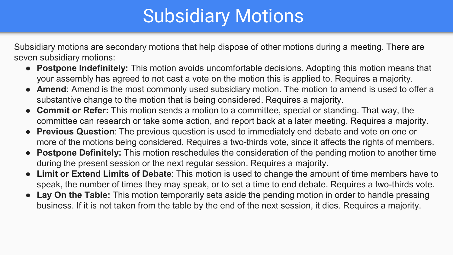# Subsidiary Motions

<span id="page-4-0"></span>Subsidiary motions are secondary motions that help dispose of other motions during a meeting. There are seven subsidiary motions:

- **Postpone Indefinitely:** This motion avoids uncomfortable decisions. Adopting this motion means that your assembly has agreed to not cast a vote on the motion this is applied to. Requires a majority.
- **Amend**: Amend is the most commonly used subsidiary motion. The motion to amend is used to offer a substantive change to the motion that is being considered. Requires a majority.
- **Commit or Refer:** This motion sends a motion to a committee, special or standing. That way, the committee can research or take some action, and report back at a later meeting. Requires a majority.
- **Previous Question**: The previous question is used to immediately end debate and vote on one or more of the motions being considered. Requires a two-thirds vote, since it affects the rights of members.
- **Postpone Definitely:** This motion reschedules the consideration of the pending motion to another time during the present session or the next regular session. Requires a majority.
- **Limit or Extend Limits of Debate**: This motion is used to change the amount of time members have to speak, the number of times they may speak, or to set a time to end debate. Requires a two-thirds vote.
- Lay On the Table: This motion temporarily sets aside the pending motion in order to handle pressing business. If it is not taken from the table by the end of the next session, it dies. Requires a majority.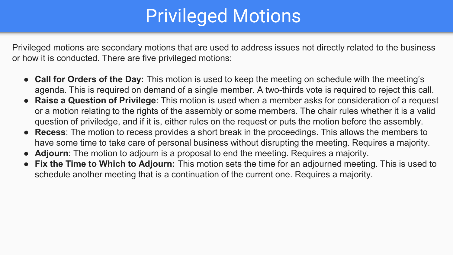# Privileged Motions

<span id="page-5-0"></span>Privileged motions are secondary motions that are used to address issues not directly related to the business or how it is conducted. There are five privileged motions:

- **Call for Orders of the Day:** This motion is used to keep the meeting on schedule with the meeting's agenda. This is required on demand of a single member. A two-thirds vote is required to reject this call.
- **Raise a Question of Privilege**: This motion is used when a member asks for consideration of a request or a motion relating to the rights of the assembly or some members. The chair rules whether it is a valid question of priviledge, and if it is, either rules on the request or puts the motion before the assembly.
- **Recess**: The motion to recess provides a short break in the proceedings. This allows the members to have some time to take care of personal business without disrupting the meeting. Requires a majority.
- **Adjourn**: The motion to adjourn is a proposal to end the meeting. Requires a majority.
- **Fix the Time to Which to Adjourn:** This motion sets the time for an adjourned meeting. This is used to schedule another meeting that is a continuation of the current one. Requires a majority.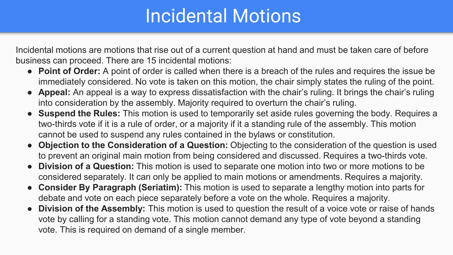#### Incidental Motions

<span id="page-6-0"></span>Incidental motions are motions that rise out of a current question at hand and must be taken care of before business can proceed. There are 15 incidental motions:

- **Point of Order:** A point of order is called when there is a breach of the rules and requires the issue be immediately considered. No vote is taken on this motion, the chair simply states the ruling of the point.
- **Appeal:** An appeal is a way to express dissatisfaction with the chair's ruling. It brings the chair's ruling into consideration by the assembly. Majority required to overturn the chair's ruling.
- **Suspend the Rules:** This motion is used to temporarily set aside rules governing the body. Requires a two-thirds vote if it is a rule of order, or a majority if it a standing rule of the assembly. This motion cannot be used to suspend any rules contained in the bylaws or constitution.
- **Objection to the Consideration of a Question:** Objecting to the consideration of the question is used to prevent an original main motion from being considered and discussed. Requires a two-thirds vote.
- **Division of a Question:** This motion is used to separate one motion into two or more motions to be considered separately. It can only be applied to main motions or amendments. Requires a majority.
- **Consider By Paragraph (Seriatim):** This motion is used to separate a lengthy motion into parts for debate and vote on each piece separately before a vote on the whole. Requires a majority.
- **Division of the Assembly:** This motion is used to question the result of a voice vote or raise of hands vote by calling for a standing vote. This motion cannot demand any type of vote beyond a standing vote. This is required on demand of a single member.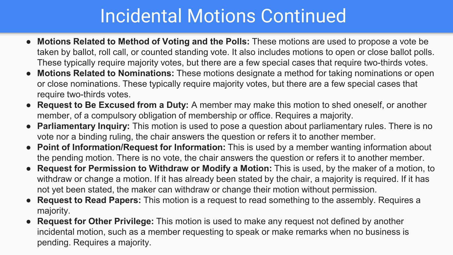## Incidental Motions Continued

- **Motions Related to Method of Voting and the Polls:** These motions are used to propose a vote be taken by ballot, roll call, or counted standing vote. It also includes motions to open or close ballot polls. These typically require majority votes, but there are a few special cases that require two-thirds votes.
- **Motions Related to Nominations:** These motions designate a method for taking nominations or open or close nominations. These typically require majority votes, but there are a few special cases that require two-thirds votes.
- **Request to Be Excused from a Duty:** A member may make this motion to shed oneself, or another member, of a compulsory obligation of membership or office. Requires a majority.
- **Parliamentary Inquiry:** This motion is used to pose a question about parliamentary rules. There is no vote nor a binding ruling, the chair answers the question or refers it to another member.
- **Point of Information/Request for Information:** This is used by a member wanting information about the pending motion. There is no vote, the chair answers the question or refers it to another member.
- **Request for Permission to Withdraw or Modify a Motion:** This is used, by the maker of a motion, to withdraw or change a motion. If it has already been stated by the chair, a majority is required. If it has not yet been stated, the maker can withdraw or change their motion without permission.
- **Request to Read Papers:** This motion is a request to read something to the assembly. Requires a majority.
- **Request for Other Privilege:** This motion is used to make any request not defined by another incidental motion, such as a member requesting to speak or make remarks when no business is pending. Requires a majority.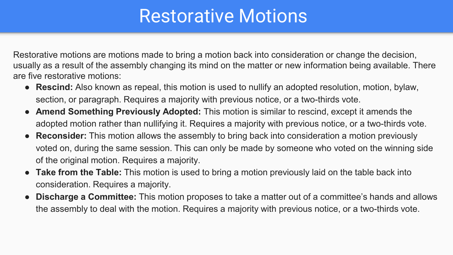#### Restorative Motions

<span id="page-8-0"></span>Restorative motions are motions made to bring a motion back into consideration or change the decision, usually as a result of the assembly changing its mind on the matter or new information being available. There are five restorative motions:

- **Rescind:** Also known as repeal, this motion is used to nullify an adopted resolution, motion, bylaw, section, or paragraph. Requires a majority with previous notice, or a two-thirds vote.
- **Amend Something Previously Adopted:** This motion is similar to rescind, except it amends the adopted motion rather than nullifying it. Requires a majority with previous notice, or a two-thirds vote.
- **Reconsider:** This motion allows the assembly to bring back into consideration a motion previously voted on, during the same session. This can only be made by someone who voted on the winning side of the original motion. Requires a majority.
- **Take from the Table:** This motion is used to bring a motion previously laid on the table back into consideration. Requires a majority.
- **Discharge a Committee:** This motion proposes to take a matter out of a committee's hands and allows the assembly to deal with the motion. Requires a majority with previous notice, or a two-thirds vote.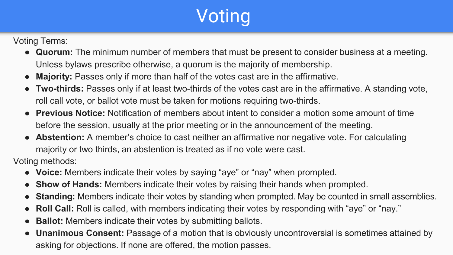# **Voting**

<span id="page-9-0"></span>Voting Terms:

- **Quorum:** The minimum number of members that must be present to consider business at a meeting. Unless bylaws prescribe otherwise, a quorum is the majority of membership.
- **Majority:** Passes only if more than half of the votes cast are in the affirmative.
- **Two-thirds:** Passes only if at least two-thirds of the votes cast are in the affirmative. A standing vote, roll call vote, or ballot vote must be taken for motions requiring two-thirds.
- **Previous Notice:** Notification of members about intent to consider a motion some amount of time before the session, usually at the prior meeting or in the announcement of the meeting.
- **Abstention:** A member's choice to cast neither an affirmative nor negative vote. For calculating majority or two thirds, an abstention is treated as if no vote were cast.

Voting methods:

- **Voice:** Members indicate their votes by saying "aye" or "nay" when prompted.
- **Show of Hands:** Members indicate their votes by raising their hands when prompted.
- **Standing:** Members indicate their votes by standing when prompted. May be counted in small assemblies.
- **Roll Call:** Roll is called, with members indicating their votes by responding with "aye" or "nay."
- **Ballot:** Members indicate their votes by submitting ballots.
- **Unanimous Consent:** Passage of a motion that is obviously uncontroversial is sometimes attained by asking for objections. If none are offered, the motion passes.